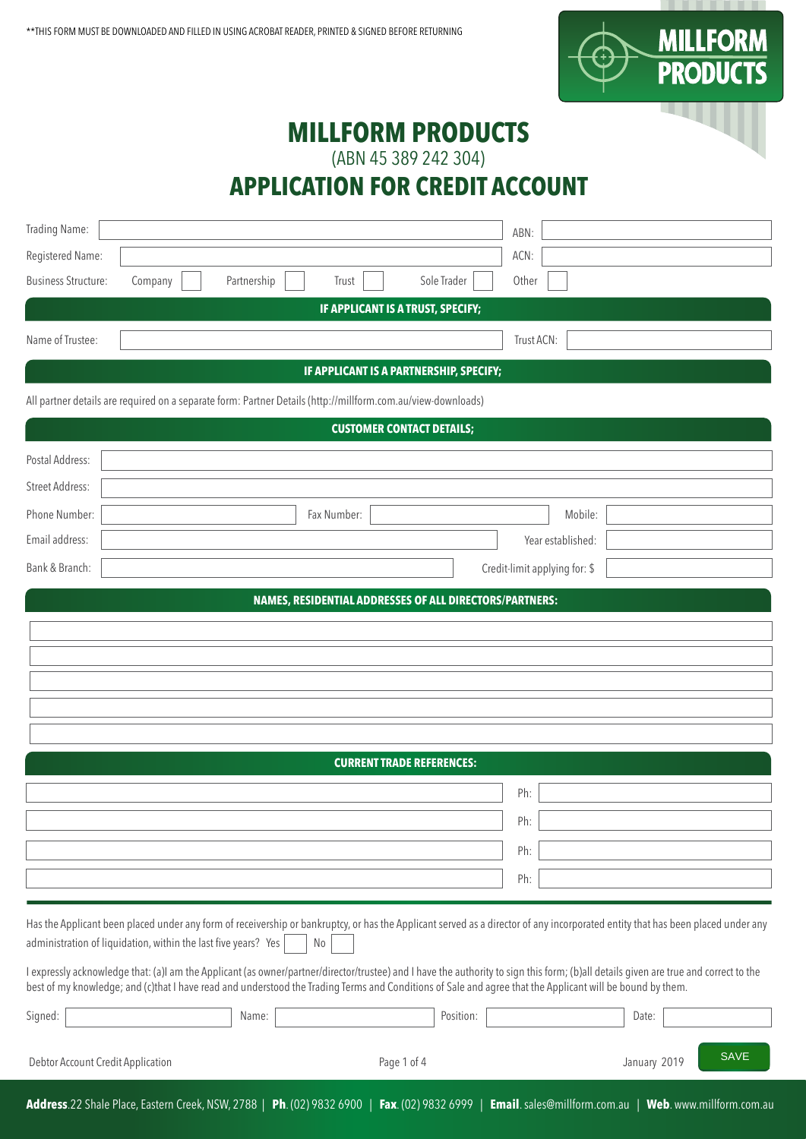

## **MILLFORM PRODUCTS**

(ABN 45 389 242 304)

### **APPLICATION FOR CREDIT ACCOUNT**

| Trading Name:                                                                                                                                                                                                                                                                                                                                     |                                                         | ABN:                                                     |
|---------------------------------------------------------------------------------------------------------------------------------------------------------------------------------------------------------------------------------------------------------------------------------------------------------------------------------------------------|---------------------------------------------------------|----------------------------------------------------------|
| Registered Name:                                                                                                                                                                                                                                                                                                                                  |                                                         | ACN:                                                     |
| <b>Business Structure:</b><br>Company<br>Partnership                                                                                                                                                                                                                                                                                              | Sole Trader<br>Trust                                    | Other                                                    |
|                                                                                                                                                                                                                                                                                                                                                   | IF APPLICANT IS A TRUST, SPECIFY;                       |                                                          |
| Name of Trustee:                                                                                                                                                                                                                                                                                                                                  |                                                         | Trust ACN:                                               |
|                                                                                                                                                                                                                                                                                                                                                   | IF APPLICANT IS A PARTNERSHIP, SPECIFY;                 |                                                          |
| All partner details are required on a separate form: Partner Details (http://millform.com.au/view-downloads)                                                                                                                                                                                                                                      |                                                         |                                                          |
|                                                                                                                                                                                                                                                                                                                                                   | <b>CUSTOMER CONTACT DETAILS;</b>                        |                                                          |
| Postal Address:                                                                                                                                                                                                                                                                                                                                   |                                                         |                                                          |
| <b>Street Address:</b>                                                                                                                                                                                                                                                                                                                            |                                                         |                                                          |
| Phone Number:                                                                                                                                                                                                                                                                                                                                     | Fax Number:                                             | Mobile:                                                  |
| Email address:                                                                                                                                                                                                                                                                                                                                    |                                                         | Year established:                                        |
| Bank & Branch:                                                                                                                                                                                                                                                                                                                                    |                                                         | Credit-limit applying for: \$                            |
|                                                                                                                                                                                                                                                                                                                                                   | NAMES, RESIDENTIAL ADDRESSES OF ALL DIRECTORS/PARTNERS: |                                                          |
|                                                                                                                                                                                                                                                                                                                                                   |                                                         |                                                          |
|                                                                                                                                                                                                                                                                                                                                                   |                                                         |                                                          |
|                                                                                                                                                                                                                                                                                                                                                   |                                                         |                                                          |
|                                                                                                                                                                                                                                                                                                                                                   |                                                         |                                                          |
|                                                                                                                                                                                                                                                                                                                                                   |                                                         |                                                          |
|                                                                                                                                                                                                                                                                                                                                                   | <b>CURRENT TRADE REFERENCES:</b>                        |                                                          |
|                                                                                                                                                                                                                                                                                                                                                   |                                                         | Ph:                                                      |
|                                                                                                                                                                                                                                                                                                                                                   |                                                         | Ph:                                                      |
|                                                                                                                                                                                                                                                                                                                                                   |                                                         | Ph:                                                      |
|                                                                                                                                                                                                                                                                                                                                                   |                                                         | Ph:                                                      |
|                                                                                                                                                                                                                                                                                                                                                   |                                                         |                                                          |
| Has the Applicant been placed under any form of receivership or bankruptcy, or has the Applicant served as a director of any incorporated entity that has been placed under any<br>administration of liquidation, within the last five years? Yes                                                                                                 | No                                                      |                                                          |
| I expressly acknowledge that: (a)I am the Applicant (as owner/partner/director/trustee) and I have the authority to sign this form; (b)all details given are true and correct to the<br>best of my knowledge; and (c)that I have read and understood the Trading Terms and Conditions of Sale and agree that the Applicant will be bound by them. |                                                         |                                                          |
| Name:<br>Signed:                                                                                                                                                                                                                                                                                                                                  | Position:                                               | Date:                                                    |
| Debtor Account Credit Application                                                                                                                                                                                                                                                                                                                 | Page 1 of 4                                             | <b>SAVE</b><br>January 2019                              |
| Address.22 Shale Place, Eastern Creek, NSW, 2788   Ph. (02) 9832 6900   Fax. (02) 9832 6999                                                                                                                                                                                                                                                       |                                                         | Email. sales@millform.com.au<br>Web. www.millform.com.au |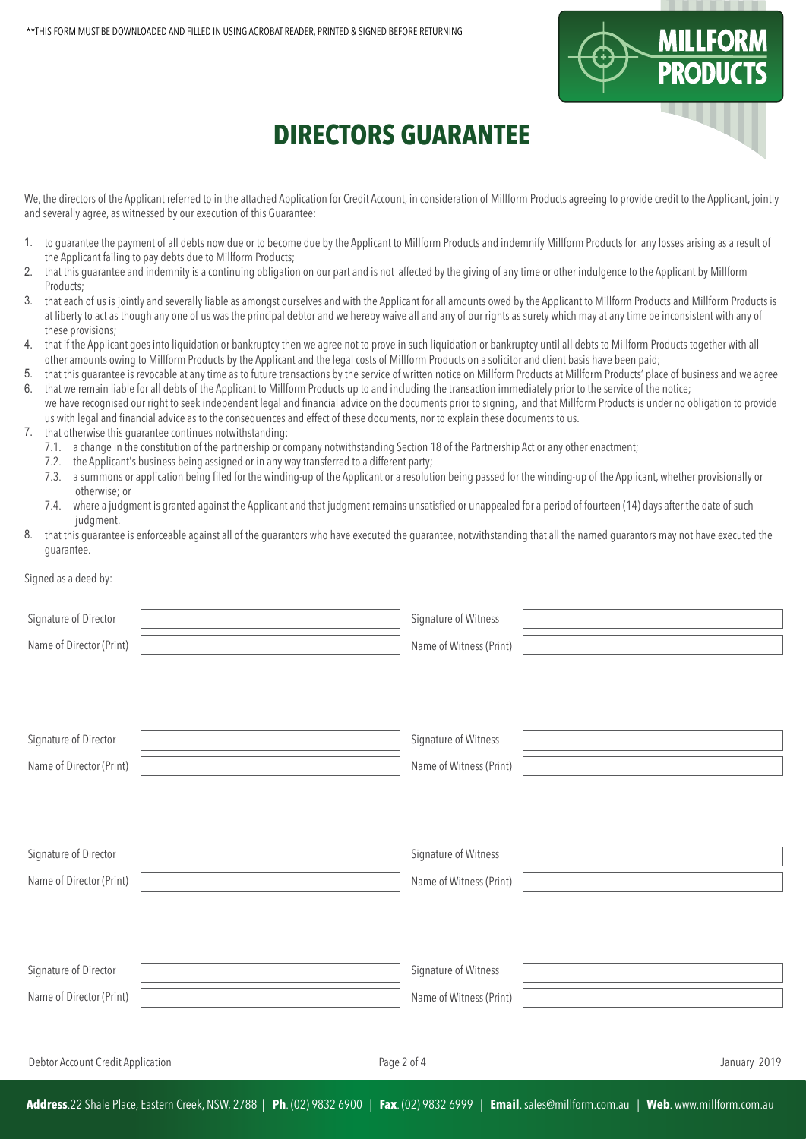

# **DIRECTORS GUARANTEE**

We, the directors of the Applicant referred to in the attached Application for Credit Account, in consideration of Millform Products agreeing to provide credit to the Applicant, jointly and severally agree, as witnessed by our execution of this Guarantee:

- 1. to guarantee the payment of all debts now due or to become due by the Applicant to Millform Products and indemnify Millform Products for any losses arising as a result of the Applicant failing to pay debts due to Millform Products;
- 2. that this guarantee and indemnity is a continuing obligation on our part and is not affected by the giving of any time or other indulgence to the Applicant by Millform Products;
- 3. that each of us is jointly and severally liable as amongst ourselves and with the Applicant for all amounts owed by the Applicant to Millform Products and Millform Products is at liberty to act as though any one of us was the principal debtor and we hereby waive all and any of our rights as surety which may at any time be inconsistent with any of these provisions;
- 4. that if the Applicant goes into liquidation or bankruptcy then we agree not to prove in such liquidation or bankruptcy until all debts to Millform Products together with all other amounts owing to Millform Products by the Applicant and the legal costs of Millform Products on a solicitor and client basis have been paid;
- 5. that this guarantee is revocable at any time as to future transactions by the service of written notice on Millform Products at Millform Products' place of business and we agree
- 6. that we remain liable for all debts of the Applicant to Millform Products up to and including the transaction immediately prior to the service of the notice; we have recognised our right to seek independent legal and financial advice on the documents prior to signing, and that Millform Products is under no obligation to provide us with legal and financial advice as to the consequences and effect of these documents, nor to explain these documents to us.
- 7. that otherwise this guarantee continues notwithstanding:
	- 7.1. a change in the constitution of the partnership or company notwithstanding Section 18 of the Partnership Act or any other enactment;
	- 7.2. the Applicant's business being assigned or in any way transferred to a different party;
	- 7.3. a summons or application being filed for the winding-up of the Applicant or a resolution being passed for the winding-up of the Applicant, whether provisionally or otherwise; or
	- 7.4. where a judgment is granted against the Applicant and that judgment remains unsatisfied or unappealed for a period of fourteen (14) days after the date of such judgment.
- 8. that this guarantee is enforceable against all of the guarantors who have executed the guarantee, notwithstanding that all the named guarantors may not have executed the guarantee.

#### Signed as a deed by:

| Signature of Director             | Signature of Witness    |              |
|-----------------------------------|-------------------------|--------------|
| Name of Director (Print)          | Name of Witness (Print) |              |
|                                   |                         |              |
|                                   |                         |              |
|                                   |                         |              |
| Signature of Director             | Signature of Witness    |              |
| Name of Director (Print)          | Name of Witness (Print) |              |
|                                   |                         |              |
|                                   |                         |              |
|                                   |                         |              |
| Signature of Director             | Signature of Witness    |              |
| Name of Director (Print)          | Name of Witness (Print) |              |
|                                   |                         |              |
|                                   |                         |              |
| Signature of Director             | Signature of Witness    |              |
| Name of Director (Print)          |                         |              |
|                                   | Name of Witness (Print) |              |
|                                   |                         |              |
| Debtor Account Credit Application | Page 2 of 4             | January 2019 |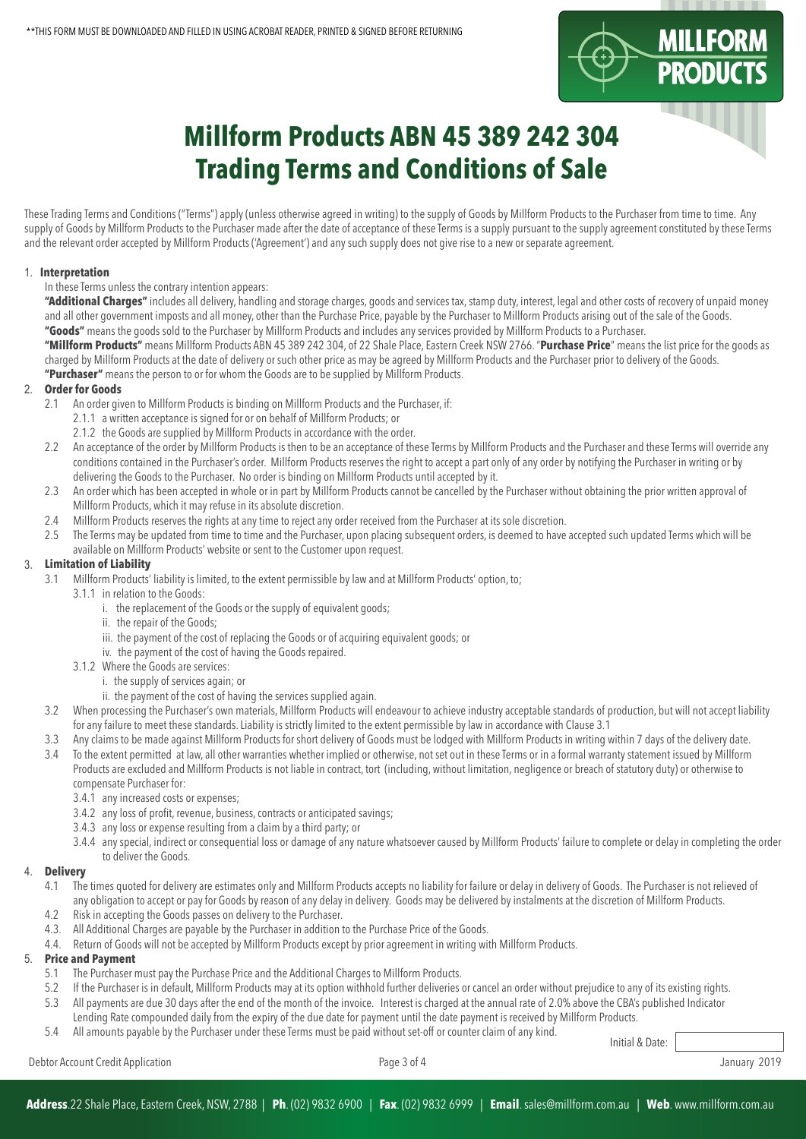

# **Millform Products ABN 45 389 242 304 Trading Terms and Conditions of Sale**

These Trading Terms and Conditions ("Terms") apply (unless otherwise agreed in writing) to the supply of Goods by Millform Products to the Purchaser from time to time. Any supply of Goods by Millform Products to the Purchaser made after the date of acceptance of these Terms is a supply pursuant to the supply agreement constituted by these Terms and the relevant order accepted by Millform Products ('Agreement') and any such supply does not give rise to a new or separate agreement.

#### **Interpretation** 1.

#### In these Terms unless the contrary intention appears:

**"Additional Charges"** includes all delivery, handling and storage charges, goods and services tax, stamp duty, interest, legal and other costs of recovery of unpaid money and all other government imposts and all money, other than the Purchase Price, payable by the Purchaser to Millform Products arising out of the sale of the Goods. **"Goods"** means the goods sold to the Purchaser by Millform Products and includes any services provided by Millform Products to a Purchaser.

**"Millform Products"** means Millform Products ABN 45 389 242 304, of 22 Shale Place, Eastern Creek NSW 2766. "**Purchase Price**" means the list price for the goods as charged by Millform Products at the date of delivery or such other price as may be agreed by Millform Products and the Purchaser prior to delivery of the Goods. **"Purchaser"** means the person to or for whom the Goods are to be supplied by Millform Products.

### **Order for Goods** 2.

- 2.1 An order given to Millform Products is binding on Millform Products and the Purchaser, if:
	- 2.1.1 a written acceptance is signed for or on behalf of Millform Products; or
	- 2.1.2 the Goods are supplied by Millform Products in accordance with the order.
- 2.2 An acceptance of the order by Millform Products is then to be an acceptance of these Terms by Millform Products and the Purchaser and these Terms will override any conditions contained in the Purchaser's order. Millform Products reserves the right to accept a part only of any order by notifying the Purchaser in writing or by delivering the Goods to the Purchaser. No order is binding on Millform Products until accepted by it.
- 2.3 An order which has been accepted in whole or in part by Millform Products cannot be cancelled by the Purchaser without obtaining the prior written approval of Millform Products, which it may refuse in its absolute discretion.
- 2.4 Millform Products reserves the rights at any time to reject any order received from the Purchaser at its sole discretion.
- 2.5 The Terms may be updated from time to time and the Purchaser, upon placing subsequent orders, is deemed to have accepted such updated Terms which will be
- available on Millform Products' website or sent to the Customer upon request.

#### **Limitation of Liability** 3.

- 3.1 Millform Products' liability is limited, to the extent permissible by law and at Millform Products' option, to;
	- 3.1.1 in relation to the Goods:
		- i. the replacement of the Goods or the supply of equivalent goods;
		- ii. the repair of the Goods;
		- iii. the payment of the cost of replacing the Goods or of acquiring equivalent goods; or
		- iv. the payment of the cost of having the Goods repaired.
	- 3.1.2 Where the Goods are services:
		- i. the supply of services again; or
			- ii. the payment of the cost of having the services supplied again.
- 3.2 When processing the Purchaser's own materials, Millform Products will endeavour to achieve industry acceptable standards of production, but will not accept liability for any failure to meet these standards. Liability is strictly limited to the extent permissible by law in accordance with Clause 3.1
- 3.3 Any claims to be made against Millform Products for short delivery of Goods must be lodged with Millform Products in writing within 7 days of the delivery date.
- 3.4 To the extent permitted at law, all other warranties whether implied or otherwise, not set out in these Terms or in a formal warranty statement issued by Millform Products are excluded and Millform Products is not liable in contract, tort (including, without limitation, negligence or breach of statutory duty) or otherwise to compensate Purchaser for:
	- 3.4.1 any increased costs or expenses;
	- 3.4.2 any loss of profit, revenue, business, contracts or anticipated savings;
	- 3.4.3 any loss or expense resulting from a claim by a third party; or
	- 3.4.4 any special, indirect or consequential loss or damage of any nature whatsoever caused by Millform Products' failure to complete or delay in completing the order to deliver the Goods.

#### **Delivery**  4.

- 4.1 The times quoted for delivery are estimates only and Millform Products accepts no liability for failure or delay in delivery of Goods. The Purchaser is not relieved of any obligation to accept or pay for Goods by reason of any delay in delivery. Goods may be delivered by instalments at the discretion of Millform Products.<br>42 Risk in accepting the Goods passes on delivery to the Purchaser
- 4.2 Risk in accepting the Goods passes on delivery to the Purchaser.
- 4.3. All Additional Charges are payable by the Purchaser in addition to the Purchase Price of the Goods.
- 4.4. Return of Goods will not be accepted by Millform Products except by prior agreement in writing with Millform Products.

#### **Price and Payment** 5.

- 5.1 The Purchaser must pay the Purchase Price and the Additional Charges to Millform Products.
- 5.2 If the Purchaser is in default, Millform Products may at its option withhold further deliveries or cancel an order without prejudice to any of its existing rights.
- 5.3 All payments are due 30 days after the end of the month of the invoice. Interest is charged at the annual rate of 2.0% above the CBA's published Indicator Lending Rate compounded daily from the expiry of the due date for payment until the date payment is received by Millform Products.
- 5.4 All amounts payable by the Purchaser under these Terms must be paid without set-off or counter claim of any kind.

Initial & Date: